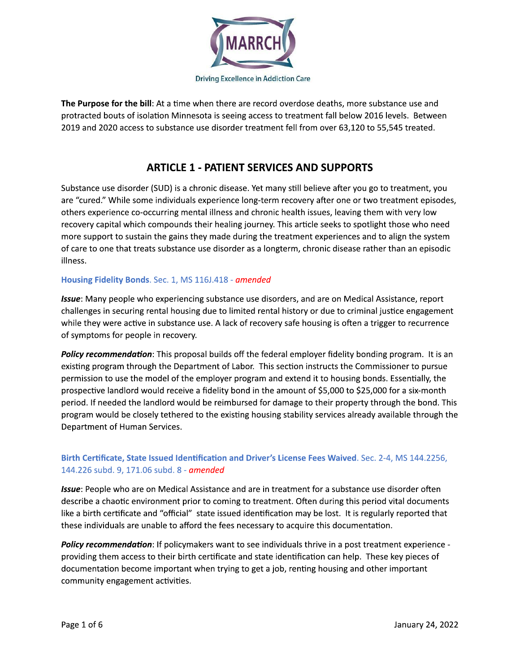

The Purpose for the bill: At a time when there are record overdose deaths, more substance use and protracted bouts of isolation Minnesota is seeing access to treatment fall below 2016 levels. Between 2019 and 2020 access to substance use disorder treatment fell from over 63,120 to 55,545 treated.

## **ARTICLE 1 - PATIENT SERVICES AND SUPPORTS**

Substance use disorder (SUD) is a chronic disease. Yet many still believe after you go to treatment, you are "cured." While some individuals experience long-term recovery after one or two treatment episodes, others experience co-occurring mental illness and chronic health issues, leaving them with very low recovery capital which compounds their healing journey. This article seeks to spotlight those who need more support to sustain the gains they made during the treatment experiences and to align the system of care to one that treats substance use disorder as a longterm, chronic disease rather than an episodic illness.

#### Housing Fidelity Bonds. Sec. 1, MS 116J.418 - amended

Issue: Many people who experiencing substance use disorders, and are on Medical Assistance, report challenges in securing rental housing due to limited rental history or due to criminal justice engagement while they were active in substance use. A lack of recovery safe housing is often a trigger to recurrence of symptoms for people in recovery.

Policy recommendation: This proposal builds off the federal employer fidelity bonding program. It is an existing program through the Department of Labor. This section instructs the Commissioner to pursue permission to use the model of the employer program and extend it to housing bonds. Essentially, the prospective landlord would receive a fidelity bond in the amount of \$5,000 to \$25,000 for a six-month period. If needed the landlord would be reimbursed for damage to their property through the bond. This program would be closely tethered to the existing housing stability services already available through the Department of Human Services.

## Birth Certificate, State Issued Identification and Driver's License Fees Waived. Sec. 2-4, MS 144.2256, 144.226 subd. 9, 171.06 subd. 8 - amended

Issue: People who are on Medical Assistance and are in treatment for a substance use disorder often describe a chaotic environment prior to coming to treatment. Often during this period vital documents like a birth certificate and "official" state issued identification may be lost. It is regularly reported that these individuals are unable to afford the fees necessary to acquire this documentation.

Policy recommendation: If policymakers want to see individuals thrive in a post treatment experience providing them access to their birth certificate and state identification can help. These key pieces of documentation become important when trying to get a job, renting housing and other important community engagement activities.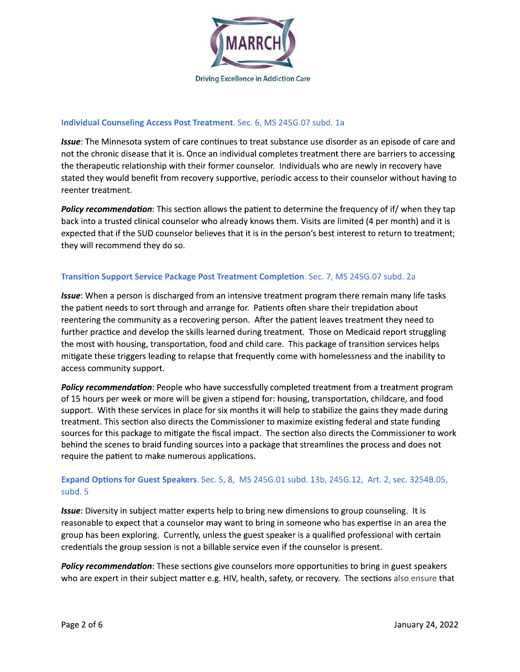

#### Individual Counseling Access Post Treatment. Sec. 6, MS 245G.07 subd. 1a

Issue: The Minnesota system of care continues to treat substance use disorder as an episode of care and not the chronic disease that it is. Once an individual completes treatment there are barriers to accessing the therapeutic relationship with their former counselor. Individuals who are newly in recovery have stated they would benefit from recovery supportive, periodic access to their counselor without having to reenter treatment.

Policy recommendation: This section allows the patient to determine the frequency of if/ when they tap back into a trusted clinical counselor who already knows them. Visits are limited (4 per month) and it is expected that if the SUD counselor believes that it is in the person's best interest to return to treatment; they will recommend they do so.

#### Transition Support Service Package Post Treatment Completion. Sec. 7, MS 245G.07 subd. 2a

**Issue:** When a person is discharged from an intensive treatment program there remain many life tasks the patient needs to sort through and arrange for. Patients often share their trepidation about reentering the community as a recovering person. After the patient leaves treatment they need to further practice and develop the skills learned during treatment. Those on Medicaid report struggling the most with housing, transportation, food and child care. This package of transition services helps mitigate these triggers leading to relapse that frequently come with homelessness and the inability to access community support.

Policy recommendation: People who have successfully completed treatment from a treatment program of 15 hours per week or more will be given a stipend for: housing, transportation, childcare, and food support. With these services in place for six months it will help to stabilize the gains they made during treatment. This section also directs the Commissioner to maximize existing federal and state funding sources for this package to mitigate the fiscal impact. The section also directs the Commissioner to work behind the scenes to braid funding sources into a package that streamlines the process and does not require the patient to make numerous applications.

### Expand Options for Guest Speakers. Sec. 5, 8, MS 245G.01 subd. 13b, 245G.12, Art. 2, sec. 3254B.05, subd. 5

Issue: Diversity in subject matter experts help to bring new dimensions to group counseling. It is reasonable to expect that a counselor may want to bring in someone who has expertise in an area the group has been exploring. Currently, unless the guest speaker is a qualified professional with certain credentials the group session is not a billable service even if the counselor is present.

**Policy recommendation:** These sections give counselors more opportunities to bring in guest speakers who are expert in their subject matter e.g. HIV, health, safety, or recovery. The sections also ensure that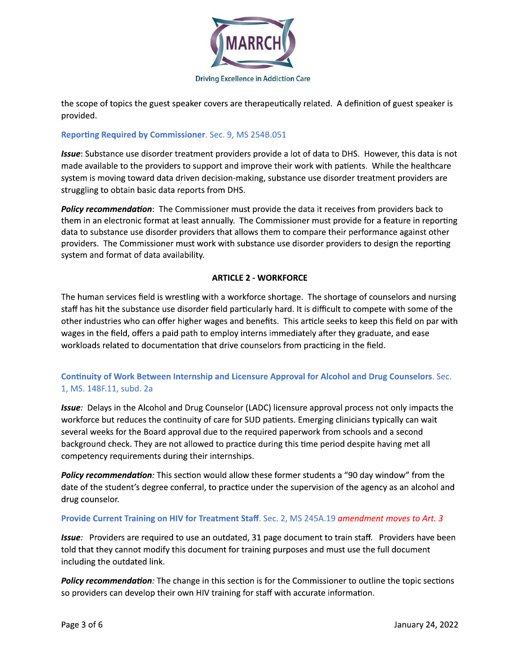

the scope of topics the guest speaker covers are therapeutically related. A definition of guest speaker is provided.

#### Reporting Required by Commissioner. Sec. 9, MS 254B.051

Issue: Substance use disorder treatment providers provide a lot of data to DHS. However, this data is not made available to the providers to support and improve their work with patients. While the healthcare system is moving toward data driven decision-making, substance use disorder treatment providers are struggling to obtain basic data reports from DHS.

Policy recommendation: The Commissioner must provide the data it receives from providers back to them in an electronic format at least annually. The Commissioner must provide for a feature in reporting data to substance use disorder providers that allows them to compare their performance against other providers. The Commissioner must work with substance use disorder providers to design the reporting system and format of data availability.

### **ARTICLE 2 - WORKFORCE**

The human services field is wrestling with a workforce shortage. The shortage of counselors and nursing staff has hit the substance use disorder field particularly hard. It is difficult to compete with some of the other industries who can offer higher wages and benefits. This article seeks to keep this field on par with wages in the field, offers a paid path to employ interns immediately after they graduate, and ease workloads related to documentation that drive counselors from practicing in the field.

## Continuity of Work Between Internship and Licensure Approval for Alcohol and Drug Counselors. Sec. 1, MS. 148F.11, subd. 2a

**Issue:** Delays in the Alcohol and Drug Counselor (LADC) licensure approval process not only impacts the workforce but reduces the continuity of care for SUD patients. Emerging clinicians typically can wait several weeks for the Board approval due to the required paperwork from schools and a second background check. They are not allowed to practice during this time period despite having met all competency requirements during their internships.

Policy recommendation: This section would allow these former students a "90 day window" from the date of the student's degree conferral, to practice under the supervision of the agency as an alcohol and drug counselor.

#### Provide Current Training on HIV for Treatment Staff. Sec. 2, MS 245A.19 amendment moves to Art. 3

Issue: Providers are required to use an outdated, 31 page document to train staff. Providers have been told that they cannot modify this document for training purposes and must use the full document including the outdated link.

**Policy recommendation**: The change in this section is for the Commissioner to outline the topic sections so providers can develop their own HIV training for staff with accurate information.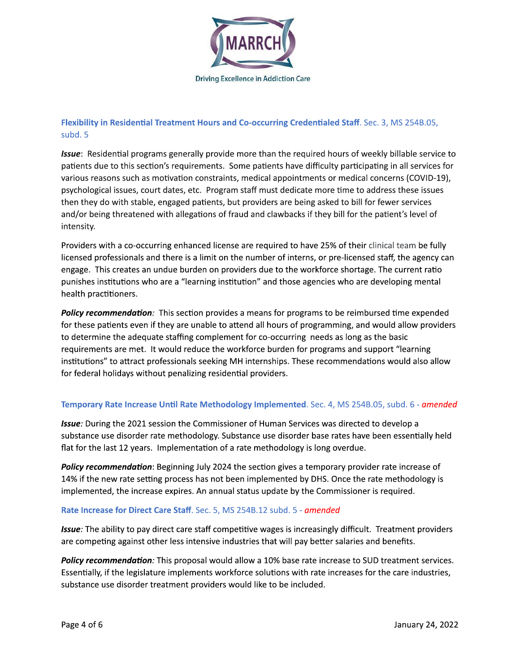

## Flexibility in Residential Treatment Hours and Co-occurring Credentialed Staff. Sec. 3, MS 254B.05, subd. 5

tialed Staff. Sec. 3, MS 254B.05,<br>ed hours of weekly billable service to<br>iculty participating in all services for<br>ts or medical concerns (COVID-19),<br>more time to address these issues<br>asked to bill for fewer services<br>hey bi Issue: Residential programs generally provide more than the required hours of weekly billable service to patients due to this section's requirements. Some patients have difficulty participating in all services for various reasons such as motivation constraints, medical appointments or medical concerns (COVID-19), psychological issues, court dates, etc. Program staff must dedicate more time to address these issues then they do with stable, engaged patients, but providers are being asked to bill for fewer services and/or being threatened with allegations of fraud and clawbacks if they bill for the patient's level of intensity.

Providers with a co-occurring enhanced license are required to have 25% of their clinical team be fully licensed professionals and there is a limit on the number of interns, or pre-licensed staff, the agency can engage. This creates an undue burden on providers due to the workforce shortage. The current ratio punishes institutions who are a "learning institution" and those agencies who are developing mental health practitioners.

Policy recommendation: This section provides a means for programs to be reimbursed time expended for these patients even if they are unable to attend all hours of programming, and would allow providers to determine the adequate staffing complement for co-occurring needs as long as the basic requirements are met. It would reduce the workforce burden for programs and support "learning institutions" to attract professionals seeking MH internships. These recommendations would also allow for federal holidays without penalizing residential providers. In programming, and would allow providers<br>turring needs as long as the basic<br>den for programs and support "learning<br>ps. These recommendations would also allow<br>rs.<br>**nented**. Sec. 4, MS 254B.05, subd. 6 - *amended*<br>an Servic to determine the adequate staffing complement for co-occurring needs as long as the basic<br>requirements are met. It would reduce the workforce burden for programs and support "learning<br>institutions" to attract professionals

# **Temporary Rate Increase Until Rate Methodology Implemented**. Sec. 4, MS 254B.05, subd. 6 - amended

substance use disorder rate methodology. Substance use disorder base rates have been essentially held flat for the last 12 years. Implementation of a rate methodology is long overdue. **Issue:** During the 2021 session the Commissioner of Human Services was directed to develop a

Temporary Rate Increase Until Rate Methodology Implemented. Sec. 4, MS 254B.05, subd. 6 - amendas and the 2021 session the Commissioner of Human Services was directed to develop a substance use disorder rate methodology. S 14% if the new rate setting process has not been implemented by DHS. Once the rate methodology is implemented, the increase expires. An annual status update by the Commissioner is required. Policy recommendation: Beginning July 2024 the section gives a temporary provider rate increase of

# **Rate Increase for Direct Care Staff**. Sec. 5, MS 254B.12 subd. 5 - *amended*

Issue: The ability to pay direct care staff competitive wages is increasingly difficult. Treatment providers are competing against other less intensive industries that will pay better salaries and benefits.

14% if the new rate setting process has not been implemented by DHS. Once the rate methodology is<br>
implemented, the increase expires. An annual status update by the Commissioner is required.<br>
Rate Increase for Direct Care Essentially, if the legislature implements workforce solutions with rate increases for the care industries, substance use disorder treatment providers would like to be included. are competing against other less intensive industries that will pay better salaries and benefits.<br> **Policy recommendation**: This proposal would allow a 10% base rate increase to SUD treatment services.<br>
Essentially, if the Policy recommendation: This proposal would allow a 10% base rate increase to SUD treatment services.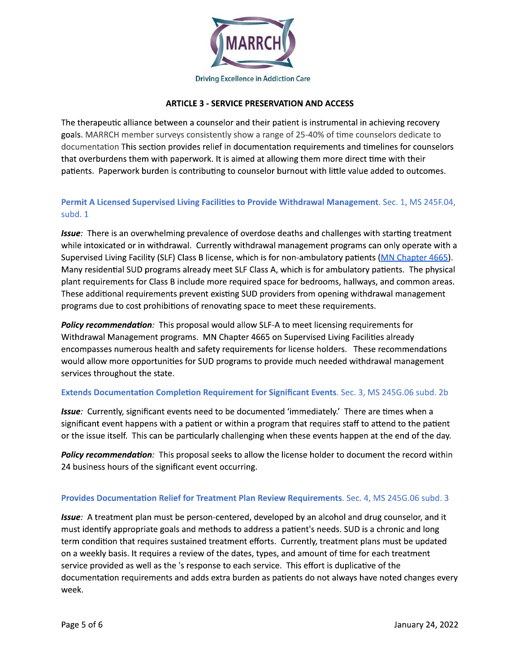

#### **ARTICLE 3 - SERVICE PRESERVATION AND ACCESS**

The therapeutic alliance between a counselor and their patient is instrumental in achieving recovery goals. MARRCH member surveys consistently show a range of 25-40% of time counselors dedicate to documentation This section provides relief in documentation requirements and timelines for counselors that overburdens them with paperwork. It is aimed at allowing them more direct time with their patients. Paperwork burden is contributing to counselor burnout with little value added to outcomes.

## Permit A Licensed Supervised Living Facilities to Provide Withdrawal Management. Sec. 1, MS 245F.04, subd. 1

Issue: There is an overwhelming prevalence of overdose deaths and challenges with starting treatment while intoxicated or in withdrawal. Currently withdrawal management programs can only operate with a Supervised Living Facility (SLF) Class B license, which is for non-ambulatory patients (MN Chapter 4665). Many residential SUD programs already meet SLF Class A, which is for ambulatory patients. The physical plant requirements for Class B include more required space for bedrooms, hallways, and common areas. These additional requirements prevent existing SUD providers from opening withdrawal management programs due to cost prohibitions of renovating space to meet these requirements.

**Policy recommendation:** This proposal would allow SLF-A to meet licensing requirements for Withdrawal Management programs. MN Chapter 4665 on Supervised Living Facilities already encompasses numerous health and safety requirements for license holders. These recommendations would allow more opportunities for SUD programs to provide much needed withdrawal management services throughout the state.

#### Extends Documentation Completion Requirement for Significant Events. Sec. 3, MS 245G.06 subd. 2b

Issue: Currently, significant events need to be documented 'immediately.' There are times when a significant event happens with a patient or within a program that requires staff to attend to the patient or the issue itself. This can be particularly challenging when these events happen at the end of the day.

**Policy recommendation:** This proposal seeks to allow the license holder to document the record within 24 business hours of the significant event occurring.

#### Provides Documentation Relief for Treatment Plan Review Requirements. Sec. 4, MS 245G.06 subd. 3

Issue: A treatment plan must be person-centered, developed by an alcohol and drug counselor, and it must identify appropriate goals and methods to address a patient's needs. SUD is a chronic and long term condition that requires sustained treatment efforts. Currently, treatment plans must be updated on a weekly basis. It requires a review of the dates, types, and amount of time for each treatment service provided as well as the 's response to each service. This effort is duplicative of the documentation requirements and adds extra burden as patients do not always have noted changes every week.